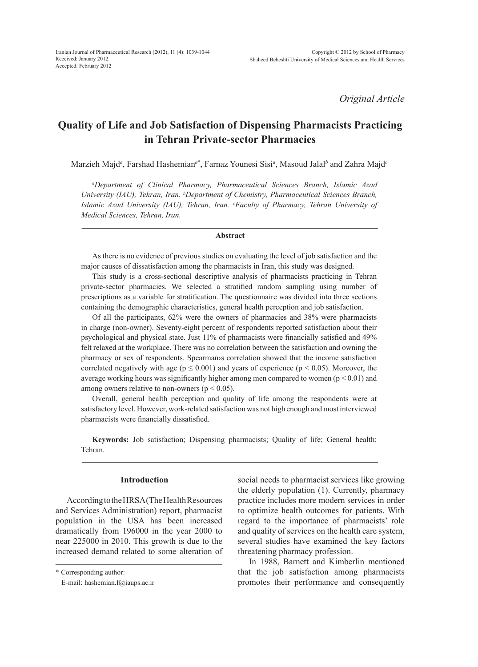*Original Article*

# **Quality of Life and Job Satisfaction of Dispensing Pharmacists Practicing in Tehran Private-sector Pharmacies**

Marzieh Majd*<sup>a</sup>* , Farshad Hashemian*a\**, Farnaz Younesi Sisi*<sup>a</sup>* , Masoud Jalal*<sup>b</sup>* and Zahra Majd*<sup>c</sup>*

*a Department of Clinical Pharmacy, Pharmaceutical Sciences Branch, Islamic Azad*  University (IAU), Tehran, Iran. <sup>b</sup>Department of Chemistry, Pharmaceutical Sciences Branch, *Islamic Azad University (IAU), Tehran, Iran. c Faculty of Pharmacy, Tehran University of Medical Sciences, Tehran, Iran.*

# **Abstract**

As there is no evidence of previous studies on evaluating the level of job satisfaction and the major causes of dissatisfaction among the pharmacists in Iran, this study was designed.

This study is a cross-sectional descriptive analysis of pharmacists practicing in Tehran private-sector pharmacies. We selected a stratified random sampling using number of prescriptions as a variable for stratification. The questionnaire was divided into three sections containing the demographic characteristics, general health perception and job satisfaction.

Of all the participants, 62% were the owners of pharmacies and 38% were pharmacists in charge (non-owner). Seventy-eight percent of respondents reported satisfaction about their psychological and physical state. Just 11% of pharmacists were financially satisfied and 49% felt relaxed at the workplace. There was no correlation between the satisfaction and owning the pharmacy or sex of respondents. Spearman›s correlation showed that the income satisfaction correlated negatively with age ( $p \le 0.001$ ) and years of experience ( $p < 0.05$ ). Moreover, the average working hours was significantly higher among men compared to women  $(p < 0.01)$  and among owners relative to non-owners ( $p < 0.05$ ).

Overall, general health perception and quality of life among the respondents were at satisfactory level. However, work-related satisfaction was not high enough and most interviewed pharmacists were financially dissatisfied.

**Keywords:** Job satisfaction; Dispensing pharmacists; Quality of life; General health; Tehran.

# **Introduction**

According to the HRSA (The Health Resources and Services Administration) report, pharmacist population in the USA has been increased dramatically from 196000 in the year 2000 to near 225000 in 2010. This growth is due to the increased demand related to some alteration of

\* Corresponding author:

social needs to pharmacist services like growing the elderly population (1). Currently, pharmacy practice includes more modern services in order to optimize health outcomes for patients. With regard to the importance of pharmacists' role and quality of services on the health care system, several studies have examined the key factors threatening pharmacy profession.

In 1988, Barnett and Kimberlin mentioned that the job satisfaction among pharmacists promotes their performance and consequently

E-mail: hashemian.f@iaups.ac.ir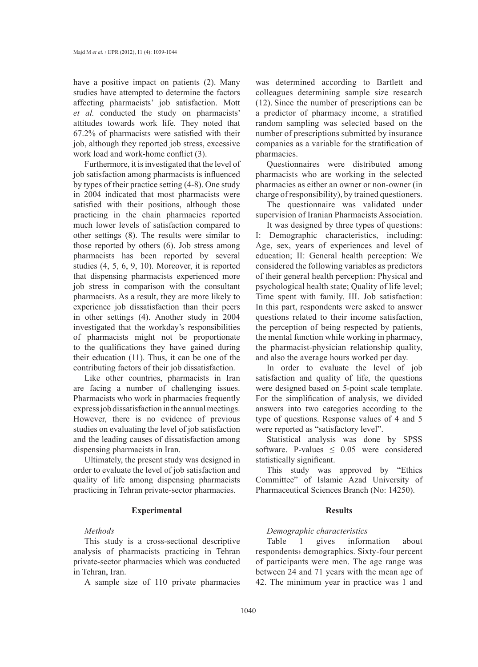have a positive impact on patients (2). Many studies have attempted to determine the factors affecting pharmacists' job satisfaction. Mott *et al.* conducted the study on pharmacists' attitudes towards work life. They noted that 67.2% of pharmacists were satisfied with their job, although they reported job stress, excessive work load and work-home conflict (3).

Furthermore, it is investigated that the level of job satisfaction among pharmacists is influenced by types of their practice setting (4-8). One study in 2004 indicated that most pharmacists were satisfied with their positions, although those practicing in the chain pharmacies reported much lower levels of satisfaction compared to other settings (8). The results were similar to those reported by others (6). Job stress among pharmacists has been reported by several studies (4, 5, 6, 9, 10). Moreover, it is reported that dispensing pharmacists experienced more job stress in comparison with the consultant pharmacists. As a result, they are more likely to experience job dissatisfaction than their peers in other settings (4). Another study in 2004 investigated that the workday's responsibilities of pharmacists might not be proportionate to the qualifications they have gained during their education (11). Thus, it can be one of the contributing factors of their job dissatisfaction.

Like other countries, pharmacists in Iran are facing a number of challenging issues. Pharmacists who work in pharmacies frequently express job dissatisfaction in the annual meetings. However, there is no evidence of previous studies on evaluating the level of job satisfaction and the leading causes of dissatisfaction among dispensing pharmacists in Iran.

Ultimately, the present study was designed in order to evaluate the level of job satisfaction and quality of life among dispensing pharmacists practicing in Tehran private-sector pharmacies.

# **Experimental**

# *Methods*

This study is a cross-sectional descriptive analysis of pharmacists practicing in Tehran private-sector pharmacies which was conducted in Tehran, Iran.

A sample size of 110 private pharmacies

was determined according to Bartlett and colleagues determining sample size research (12). Since the number of prescriptions can be a predictor of pharmacy income, a stratified random sampling was selected based on the number of prescriptions submitted by insurance companies as a variable for the stratification of pharmacies.

Questionnaires were distributed among pharmacists who are working in the selected pharmacies as either an owner or non-owner (in charge of responsibility), by trained questioners.

The questionnaire was validated under supervision of Iranian Pharmacists Association.

It was designed by three types of questions: I: Demographic characteristics, including: Age, sex, years of experiences and level of education; II: General health perception: We considered the following variables as predictors of their general health perception: Physical and psychological health state; Quality of life level; Time spent with family. III. Job satisfaction: In this part, respondents were asked to answer questions related to their income satisfaction, the perception of being respected by patients, the mental function while working in pharmacy, the pharmacist-physician relationship quality, and also the average hours worked per day.

In order to evaluate the level of job satisfaction and quality of life, the questions were designed based on 5-point scale template. For the simplification of analysis, we divided answers into two categories according to the type of questions. Response values of 4 and 5 were reported as "satisfactory level".

Statistical analysis was done by SPSS software. P-values  $\leq 0.05$  were considered statistically significant.

This study was approved by "Ethics Committee" of Islamic Azad University of Pharmaceutical Sciences Branch (No: 14250).

# **Results**

# *Demographic characteristics*

Table 1 gives information about respondents› demographics. Sixty-four percent of participants were men. The age range was between 24 and 71 years with the mean age of 42. The minimum year in practice was 1 and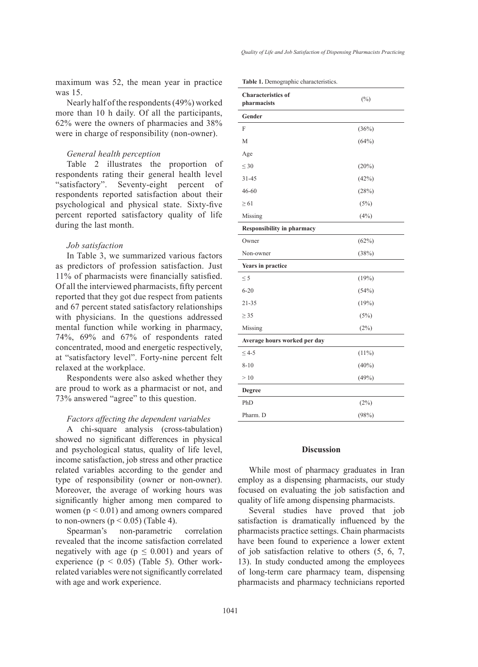maximum was 52, the mean year in practice was 15.

Nearly half of the respondents (49%) worked more than 10 h daily. Of all the participants, 62% were the owners of pharmacies and 38% were in charge of responsibility (non-owner).

# *General health perception*

Table 2 illustrates the proportion of respondents rating their general health level "satisfactory". Seventy-eight percent of respondents reported satisfaction about their psychological and physical state. Sixty-five percent reported satisfactory quality of life during the last month.

# *Job satisfaction*

In Table 3, we summarized various factors as predictors of profession satisfaction. Just 11% of pharmacists were financially satisfied. Of all the interviewed pharmacists, fifty percent reported that they got due respect from patients and 67 percent stated satisfactory relationships with physicians. In the questions addressed mental function while working in pharmacy, 74%, 69% and 67% of respondents rated concentrated, mood and energetic respectively, at "satisfactory level". Forty-nine percent felt relaxed at the workplace.

Respondents were also asked whether they are proud to work as a pharmacist or not, and 73% answered "agree" to this question.

# *Factors affecting the dependent variables*

A chi-square analysis (cross-tabulation) showed no significant differences in physical and psychological status, quality of life level, income satisfaction, job stress and other practice related variables according to the gender and type of responsibility (owner or non-owner). Moreover, the average of working hours was significantly higher among men compared to women ( $p < 0.01$ ) and among owners compared to non-owners ( $p < 0.05$ ) (Table 4).

Spearman's non-parametric correlation revealed that the income satisfaction correlated negatively with age ( $p \leq 0.001$ ) and years of experience ( $p < 0.05$ ) (Table 5). Other workrelated variables were not significantly correlated with age and work experience.

| <b>Characteristics of</b><br>pharmacists | $(\%)$   |  |  |  |  |
|------------------------------------------|----------|--|--|--|--|
| Gender                                   |          |  |  |  |  |
| F                                        | (36%)    |  |  |  |  |
| M                                        | (64%)    |  |  |  |  |
| Age                                      |          |  |  |  |  |
| $\leq 30$                                | (20%)    |  |  |  |  |
| $31 - 45$                                | (42%)    |  |  |  |  |
| $46 - 60$                                | (28%)    |  |  |  |  |
| $\geq 61$                                | (5%)     |  |  |  |  |
| Missing                                  | (4%)     |  |  |  |  |
| Responsibility in pharmacy               |          |  |  |  |  |
| Owner                                    | (62%)    |  |  |  |  |
| Non-owner                                | (38%)    |  |  |  |  |
| Years in practice                        |          |  |  |  |  |
| $\leq$ 5                                 | (19%)    |  |  |  |  |
| $6 - 20$                                 | (54%)    |  |  |  |  |
| $21 - 35$                                | (19%)    |  |  |  |  |
| $\geq$ 35                                | (5%)     |  |  |  |  |
| Missing                                  | (2%)     |  |  |  |  |
| Average hours worked per day             |          |  |  |  |  |
| $\leq 4-5$                               | (11%)    |  |  |  |  |
| $8 - 10$                                 | $(40\%)$ |  |  |  |  |
| >10                                      | (49%)    |  |  |  |  |
| Degree                                   |          |  |  |  |  |
| PhD                                      | (2%)     |  |  |  |  |
| Pharm. D                                 | (98%)    |  |  |  |  |

# **Table 1.** Demographic characteristics.

# **Discussion**

While most of pharmacy graduates in Iran employ as a dispensing pharmacists, our study focused on evaluating the job satisfaction and quality of life among dispensing pharmacists.

Several studies have proved that job satisfaction is dramatically influenced by the pharmacists practice settings. Chain pharmacists have been found to experience a lower extent of job satisfaction relative to others (5, 6, 7, 13). In study conducted among the employees of long-term care pharmacy team, dispensing pharmacists and pharmacy technicians reported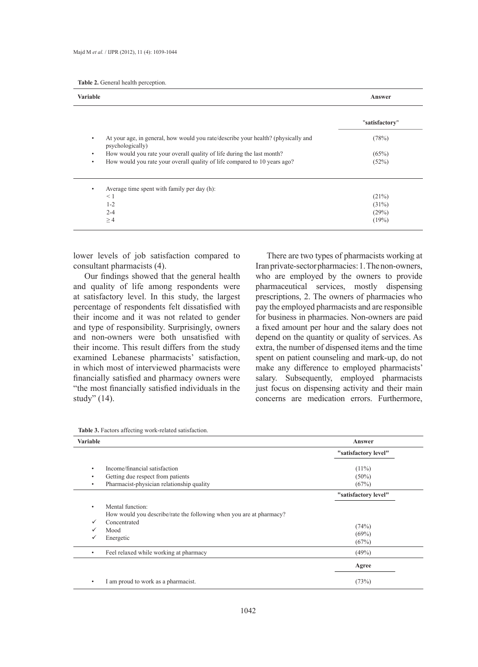|  |  |  | Table 2. General health perception. |
|--|--|--|-------------------------------------|
|--|--|--|-------------------------------------|

| <b>Variable</b>                                                                                            | Answer         |
|------------------------------------------------------------------------------------------------------------|----------------|
|                                                                                                            | "satisfactory" |
| At your age, in general, how would you rate/describe your health? (physically and<br>٠<br>psychologically) | (78%)          |
| How would you rate your overall quality of life during the last month?<br>٠                                | (65%)          |
| How would you rate your overall quality of life compared to 10 years ago?<br>٠                             | (52%)          |
| Average time spent with family per day (h):<br>٠                                                           |                |
| $\leq 1$                                                                                                   | (21%)          |
| $1 - 2$                                                                                                    | (31%)          |
| $2 - 4$                                                                                                    | (29%)          |
| $\geq 4$                                                                                                   | (19%)          |

lower levels of job satisfaction compared to consultant pharmacists (4).

Our findings showed that the general health and quality of life among respondents were at satisfactory level. In this study, the largest percentage of respondents felt dissatisfied with their income and it was not related to gender and type of responsibility. Surprisingly, owners and non-owners were both unsatisfied with their income. This result differs from the study examined Lebanese pharmacists' satisfaction, in which most of interviewed pharmacists were financially satisfied and pharmacy owners were "the most financially satisfied individuals in the study" (14).

There are two types of pharmacists working at Iran private-sector pharmacies: 1. The non-owners, who are employed by the owners to provide pharmaceutical services, mostly dispensing prescriptions, 2. The owners of pharmacies who pay the employed pharmacists and are responsible for business in pharmacies. Non-owners are paid a fixed amount per hour and the salary does not depend on the quantity or quality of services. As extra, the number of dispensed items and the time spent on patient counseling and mark-up, do not make any difference to employed pharmacists' salary. Subsequently, employed pharmacists just focus on dispensing activity and their main concerns are medication errors. Furthermore,

| <b>Variable</b> |                                                                     | Answer               |
|-----------------|---------------------------------------------------------------------|----------------------|
|                 |                                                                     | "satisfactory level" |
| ٠               | Income/financial satisfaction                                       | $(11\%)$             |
| ٠               | Getting due respect from patients                                   | $(50\%)$             |
| ٠               | Pharmacist-physician relationship quality                           | (67%)                |
|                 |                                                                     | "satisfactory level" |
| ٠               | Mental function:                                                    |                      |
|                 | How would you describe/rate the following when you are at pharmacy? |                      |
| $\checkmark$    | Concentrated                                                        |                      |
| $\checkmark$    | Mood                                                                | (74%)                |
| $\checkmark$    | Energetic                                                           | $(69\%)$             |
|                 |                                                                     | (67%)                |
| ٠               | Feel relaxed while working at pharmacy                              | (49%)                |
|                 |                                                                     | Agree                |
|                 |                                                                     |                      |

**Table 3.** Factors affecting work-related satisfaction.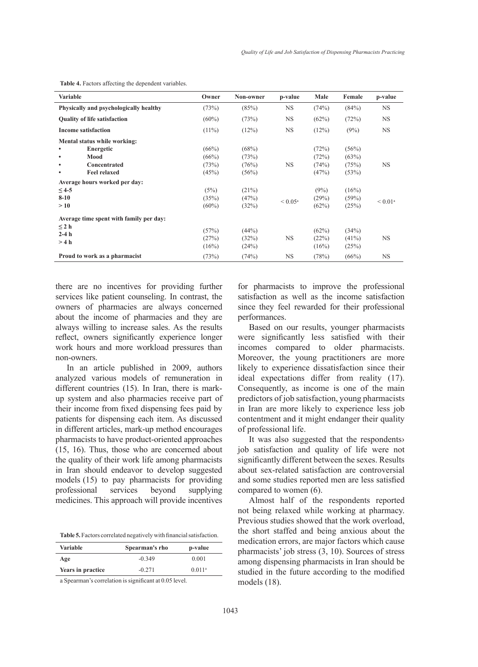| <b>Variable</b>                         | Owner    | Non-owner | p-value          | Male  | Female   | p-value               |
|-----------------------------------------|----------|-----------|------------------|-------|----------|-----------------------|
| Physically and psychologically healthy  | (73%)    | (85%)     | <b>NS</b>        | (74%) | (84%)    | <b>NS</b>             |
| <b>Quality of life satisfaction</b>     | $(60\%)$ | (73%)     | NS.              | (62%) | (72%)    | <b>NS</b>             |
| <b>Income satisfaction</b>              | $(11\%)$ | (12%)     | <b>NS</b>        | (12%) | (9%)     | <b>NS</b>             |
| Mental status while working:            |          |           |                  |       |          |                       |
| Energetic                               | (66%)    | (68%)     |                  | (72%) | (56%)    |                       |
| Mood<br>$\bullet$                       | (66%)    | (73%)     |                  | (72%) | (63%)    |                       |
| Concentrated<br>$\bullet$               | (73%)    | (76%)     | <b>NS</b>        | (74%) | (75%)    | <b>NS</b>             |
| <b>Feel relaxed</b><br>$\bullet$        | (45%)    | (56%)     |                  | (47%) | (53%)    |                       |
| Average hours worked per day:           |          |           |                  |       |          |                       |
| $\leq$ 4-5                              | (5%)     | (21%)     |                  | (9%)  | (16%)    |                       |
| $8 - 10$                                | (35%)    | (47%)     | $< 0.05^{\circ}$ | (29%) | (59%)    | $< 0.01$ <sup>a</sup> |
| >10                                     | $(60\%)$ | (32%)     |                  | (62%) | (25%)    |                       |
| Average time spent with family per day: |          |           |                  |       |          |                       |
| $\leq 2$ h                              |          |           |                  |       |          |                       |
| $2-4h$                                  | (57%)    | (44%)     |                  | (62%) | (34%)    |                       |
| >4 h                                    | (27%)    | (32%)     | <b>NS</b>        | (22%) | $(41\%)$ | <b>NS</b>             |
|                                         | (16%)    | (24%)     |                  | (16%) | (25%)    |                       |
| Proud to work as a pharmacist           | (73%)    | (74%)     | <b>NS</b>        | (78%) | (66%)    | <b>NS</b>             |

**Table 4.** Factors affecting the dependent variables.

there are no incentives for providing further services like patient counseling. In contrast, the owners of pharmacies are always concerned about the income of pharmacies and they are always willing to increase sales. As the results reflect, owners significantly experience longer work hours and more workload pressures than non-owners.

In an article published in 2009, authors analyzed various models of remuneration in different countries (15). In Iran, there is markup system and also pharmacies receive part of their income from fixed dispensing fees paid by patients for dispensing each item. As discussed in different articles, mark-up method encourages pharmacists to have product-oriented approaches (15, 16). Thus, those who are concerned about the quality of their work life among pharmacists in Iran should endeavor to develop suggested models (15) to pay pharmacists for providing professional services beyond supplying medicines. This approach will provide incentives

**Table 5.** Factors correlated negatively with financial satisfaction.

| Variable          | Spearman's rho | p-value            |
|-------------------|----------------|--------------------|
| Age               | $-0.349$       | 0.001              |
| Years in practice | $-0.271$       | 0.011 <sup>a</sup> |

a Spearman's correlation is significant at 0.05 level.

for pharmacists to improve the professional satisfaction as well as the income satisfaction since they feel rewarded for their professional performances.

Based on our results, younger pharmacists were significantly less satisfied with their incomes compared to older pharmacists. Moreover, the young practitioners are more likely to experience dissatisfaction since their ideal expectations differ from reality (17). Consequently, as income is one of the main predictors of job satisfaction, young pharmacists in Iran are more likely to experience less job contentment and it might endanger their quality of professional life.

It was also suggested that the respondents› job satisfaction and quality of life were not significantly different between the sexes. Results about sex-related satisfaction are controversial and some studies reported men are less satisfied compared to women (6).

Almost half of the respondents reported not being relaxed while working at pharmacy. Previous studies showed that the work overload, the short staffed and being anxious about the medication errors, are major factors which cause pharmacists' job stress (3, 10). Sources of stress among dispensing pharmacists in Iran should be studied in the future according to the modified models (18).